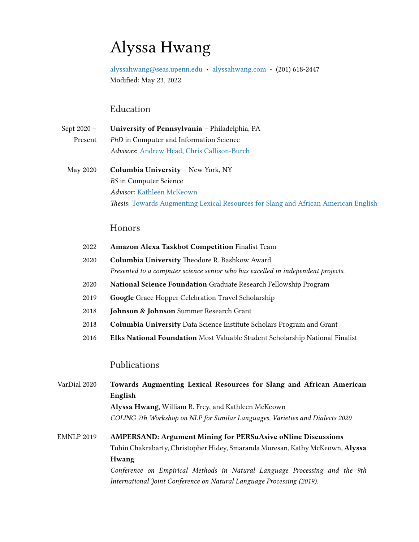# Alyssa Hwang

[alyssahwang@seas.upenn.edu](mailto:alyssahwang@seas.upenn.edu) · [alyssahwang.com](https://alyssahwang.com) · (201) 618-2447 Modified: May 23, 2022

# Education

| Sept 2020 – | University of Pennsylvania - Philadelphia, PA  |
|-------------|------------------------------------------------|
| Present     | <i>PhD</i> in Computer and Information Science |
|             | Advisors: Andrew Head, Chris Callison-Burch    |

# May 2020 Columbia University – New York, NY BS in Computer Science Advisor: [Kathleen McKeown](http://www.cs.columbia.edu/~kathy/) Thesis: [Towards Augmenting Lexical Resources for Slang and African American English](https://aclanthology.org/2020.vardial-1.15.pdf)

# Honors

| <b>Amazon Alexa Taskbot Competition Finalist Team</b>                               |
|-------------------------------------------------------------------------------------|
| Columbia University Theodore R. Bashkow Award                                       |
| Presented to a computer science senior who has excelled in independent projects.    |
| <b>National Science Foundation</b> Graduate Research Fellowship Program             |
| <b>Google Grace Hopper Celebration Travel Scholarship</b>                           |
| <b>Johnson &amp; Johnson</b> Summer Research Grant                                  |
| <b>Columbia University</b> Data Science Institute Scholars Program and Grant        |
| <b>Elks National Foundation</b> Most Valuable Student Scholarship National Finalist |
|                                                                                     |
| Publications                                                                        |
| Towards Augmenting Lexical Resources for Slang and African America                  |
|                                                                                     |

| VarDial 2020 | Towards Augmenting Lexical Resources for Slang and African American           |
|--------------|-------------------------------------------------------------------------------|
|              | English                                                                       |
|              | Alyssa Hwang, William R. Frey, and Kathleen McKeown                           |
|              | COLING 7th Workshop on NLP for Similar Languages, Varieties and Dialects 2020 |
| EMNLP 2019   | <b>AMPERSAND: Argument Mining for PERSuAsive oNline Discussions</b>           |
|              | Tuhin Chakrabarty, Christopher Hidey, Smaranda Muresan, Kathy McKeown, Alyssa |
|              | <b>Hwang</b>                                                                  |
|              |                                                                               |

Conference on Empirical Methods in Natural Language Processing and the 9th International Joint Conference on Natural Language Processing (2019).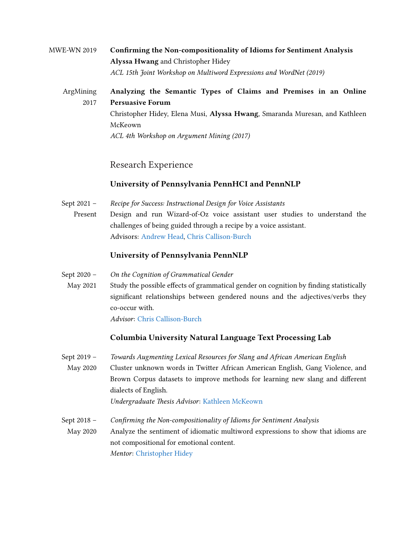### MWE-WN 2019 Confirming the Non-compositionality of Idioms for Sentiment Analysis Alyssa Hwang and Christopher Hidey ACL 15th Joint Workshop on Multiword Expressions and WordNet (2019)

#### ArgMining 2017 Analyzing the Semantic Types of Claims and Premises in an Online Persuasive Forum Christopher Hidey, Elena Musi, Alyssa Hwang, Smaranda Muresan, and Kathleen

McKeown ACL 4th Workshop on Argument Mining (2017)

### Research Experience

#### University of Pennsylvania PennHCI and PennNLP

Sept 2021 – Present Recipe for Success: Instructional Design for Voice Assistants Design and run Wizard-of-Oz voice assistant user studies to understand the challenges of being guided through a recipe by a voice assistant. Advisors: [Andrew Head,](https://andrewhead.info) [Chris Callison-Burch](https://www.cis.upenn.edu/~ccb/)

#### University of Pennsylvania PennNLP

- Sept 2020 On the Cognition of Grammatical Gender
- May 2021 Study the possible effects of grammatical gender on cognition by finding statistically significant relationships between gendered nouns and the adjectives/verbs they co-occur with.

Advisor: [Chris Callison-Burch](https://www.cis.upenn.edu/~ccb/)

#### Columbia University Natural Language Text Processing Lab

Sept 2019 – May 2020 Towards Augmenting Lexical Resources for Slang and African American English Cluster unknown words in Twitter African American English, Gang Violence, and Brown Corpus datasets to improve methods for learning new slang and different dialects of English.

Undergraduate Thesis Advisor: [Kathleen McKeown](http://www.cs.columbia.edu/~kathy/)

Sept 2018 – Confirming the Non-compositionality of Idioms for Sentiment Analysis

May 2020 Analyze the sentiment of idiomatic multiword expressions to show that idioms are not compositional for emotional content. Mentor: [Christopher Hidey](http://www.cs.columbia.edu/~chidey/)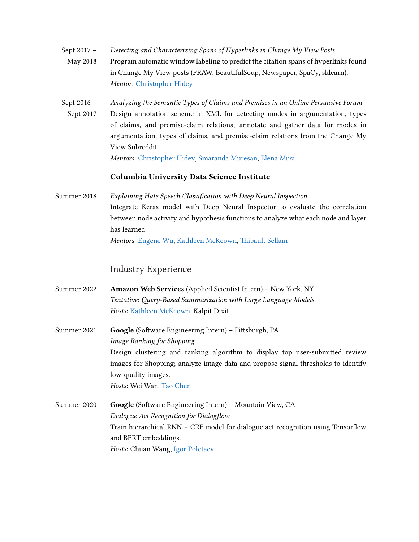- Sept 2017 May 2018 Detecting and Characterizing Spans of Hyperlinks in Change My View Posts Program automatic window labeling to predict the citation spans of hyperlinks found in Change My View posts (PRAW, BeautifulSoup, Newspaper, SpaCy, sklearn). Mentor: [Christopher Hidey](http://www.cs.columbia.edu/~chidey/)
- Sept 2016 Sept 2017 Analyzing the Semantic Types of Claims and Premises in an Online Persuasive Forum Design annotation scheme in XML for detecting modes in argumentation, types of claims, and premise-claim relations; annotate and gather data for modes in argumentation, types of claims, and premise-claim relations from the Change My View Subreddit.

Mentors: [Christopher Hidey,](http://www.cs.columbia.edu/~chidey/) [Smaranda Muresan,](http://www.cs.columbia.edu/~smara/) [Elena Musi](https://www.liverpool.ac.uk/communication-and-media/staff/elena-musi/)

#### Columbia University Data Science Institute

Summer 2018 Explaining Hate Speech Classification with Deep Neural Inspection Integrate Keras model with Deep Neural Inspector to evaluate the correlation between node activity and hypothesis functions to analyze what each node and layer has learned. Mentors: [Eugene Wu,](http://www.cs.columbia.edu/~ewu/) [Kathleen McKeown,](http://www.cs.columbia.edu/~kathy/) [Thibault Sellam](http://sellam.me/)

#### Industry Experience

- Summer 2022 Amazon Web Services (Applied Scientist Intern) New York, NY Tentative: Query-Based Summarization with Large Language Models Hosts: [Kathleen McKeown,](http://www.cs.columbia.edu/~kathy/) Kalpit Dixit
- Summer 2021 Google (Software Engineering Intern) Pittsburgh, PA Image Ranking for Shopping Design clustering and ranking algorithm to display top user-submitted review images for Shopping; analyze image data and propose signal thresholds to identify low-quality images. Hosts: Wei Wan, [Tao Chen](https://www.cs.jhu.edu/~taochen/)
- Summer 2020 Google (Software Engineering Intern) Mountain View, CA Dialogue Act Recognition for Dialogflow Train hierarchical RNN + CRF model for dialogue act recognition using Tensorflow and BERT embeddings. Hosts: Chuan Wang, [Igor Poletaev](https://ipoletaev.github.io/)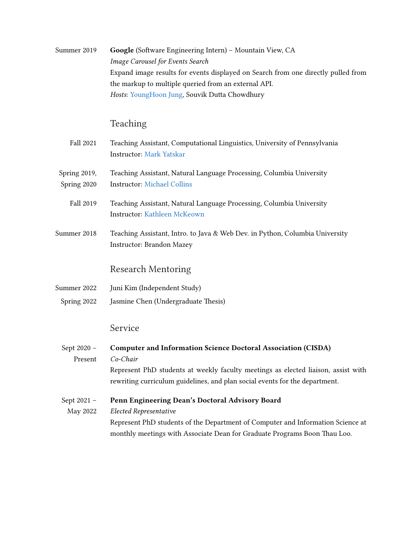| Summer 2019                 | Google (Software Engineering Intern) - Mountain View, CA<br>Image Carousel for Events Search<br>Expand image results for events displayed on Search from one directly pulled from<br>the markup to multiple queried from an external API.<br>Hosts: YoungHoon Jung, Souvik Dutta Chowdhury |
|-----------------------------|--------------------------------------------------------------------------------------------------------------------------------------------------------------------------------------------------------------------------------------------------------------------------------------------|
|                             | Teaching                                                                                                                                                                                                                                                                                   |
| Fall 2021                   | Teaching Assistant, Computational Linguistics, University of Pennsylvania<br><b>Instructor: Mark Yatskar</b>                                                                                                                                                                               |
| Spring 2019,<br>Spring 2020 | Teaching Assistant, Natural Language Processing, Columbia University<br><b>Instructor: Michael Collins</b>                                                                                                                                                                                 |
| Fall 2019                   | Teaching Assistant, Natural Language Processing, Columbia University<br>Instructor: Kathleen McKeown                                                                                                                                                                                       |
| Summer 2018                 | Teaching Assistant, Intro. to Java & Web Dev. in Python, Columbia University<br>Instructor: Brandon Mazey                                                                                                                                                                                  |
|                             | <b>Research Mentoring</b>                                                                                                                                                                                                                                                                  |
| Summer 2022                 | Juni Kim (Independent Study)                                                                                                                                                                                                                                                               |
| Spring 2022                 | Jasmine Chen (Undergraduate Thesis)                                                                                                                                                                                                                                                        |
|                             | Service                                                                                                                                                                                                                                                                                    |
| Sept 2020 -                 | <b>Computer and Information Science Doctoral Association (CISDA)</b>                                                                                                                                                                                                                       |
| Present                     | Co-Chair                                                                                                                                                                                                                                                                                   |
|                             | Represent PhD students at weekly faculty meetings as elected liaison, assist with                                                                                                                                                                                                          |

rewriting curriculum guidelines, and plan social events for the department.

Sept 2021 – May 2022 Penn Engineering Dean's Doctoral Advisory Board Elected Representative Represent PhD students of the Department of Computer and Information Science at monthly meetings with Associate Dean for Graduate Programs Boon Thau Loo.